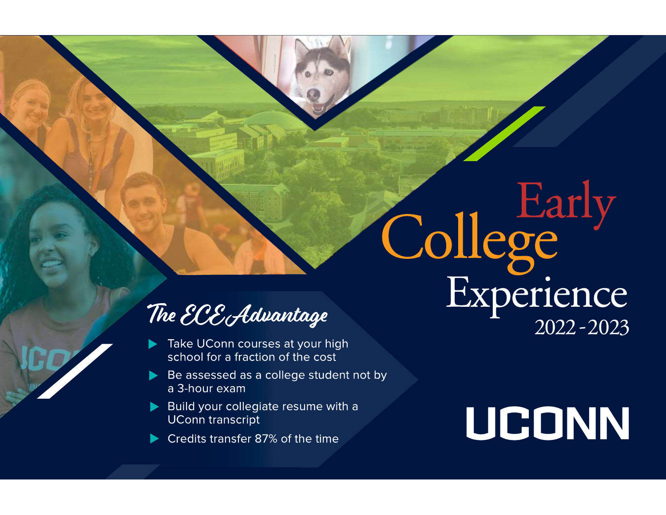## The ECE Advantage

- Take UConn courses at your high school for a fraction of the cost
- Be assessed as a college student not by a 3-hour exam
- Build your collegiate resume with a **UConn transcript**
- Credits transfer 87% of the time

# UCONN

College<br>Experience